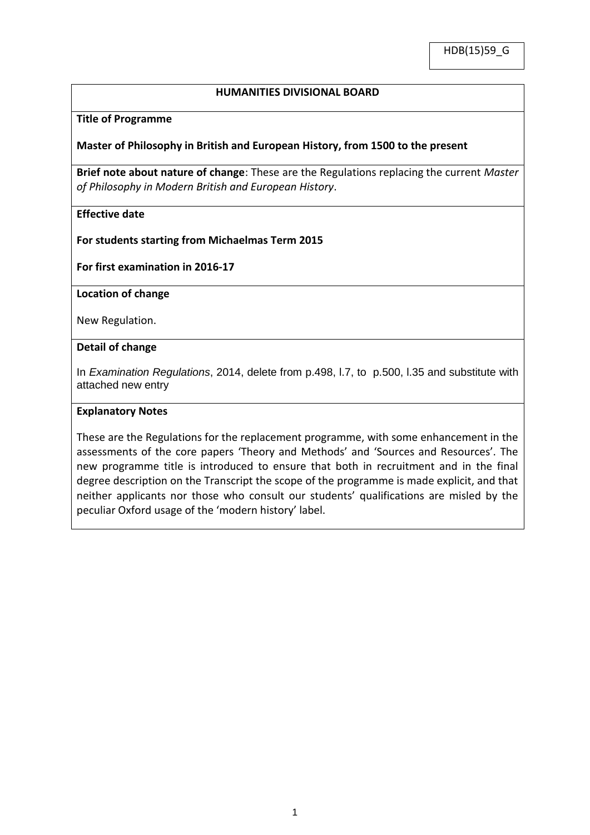## **HUMANITIES DIVISIONAL BOARD**

#### **Title of Programme**

## **Master of Philosophy in British and European History, from 1500 to the present**

**Brief note about nature of change**: These are the Regulations replacing the current *Master of Philosophy in Modern British and European History*.

## **Effective date**

**For students starting from Michaelmas Term 2015** 

**For first examination in 2016-17**

#### **Location of change**

New Regulation.

#### **Detail of change**

In *Examination Regulations*, 2014, delete from p.498, l.7, to p.500, l.35 and substitute with attached new entry

#### **Explanatory Notes**

These are the Regulations for the replacement programme, with some enhancement in the assessments of the core papers 'Theory and Methods' and 'Sources and Resources'. The new programme title is introduced to ensure that both in recruitment and in the final degree description on the Transcript the scope of the programme is made explicit, and that neither applicants nor those who consult our students' qualifications are misled by the peculiar Oxford usage of the 'modern history' label.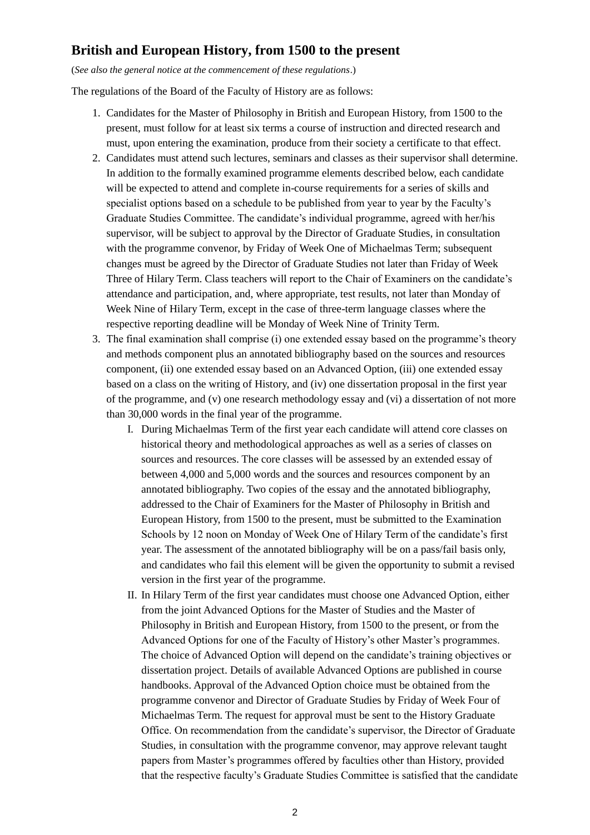# **British and European History, from 1500 to the present**

(*See also the general notice at the commencement of these regulations*.)

The regulations of the Board of the Faculty of History are as follows:

- 1. Candidates for the Master of Philosophy in British and European History, from 1500 to the present, must follow for at least six terms a course of instruction and directed research and must, upon entering the examination, produce from their society a certificate to that effect.
- 2. Candidates must attend such lectures, seminars and classes as their supervisor shall determine. In addition to the formally examined programme elements described below, each candidate will be expected to attend and complete in-course requirements for a series of skills and specialist options based on a schedule to be published from year to year by the Faculty's Graduate Studies Committee. The candidate's individual programme, agreed with her/his supervisor, will be subject to approval by the Director of Graduate Studies, in consultation with the programme convenor, by Friday of Week One of Michaelmas Term; subsequent changes must be agreed by the Director of Graduate Studies not later than Friday of Week Three of Hilary Term. Class teachers will report to the Chair of Examiners on the candidate's attendance and participation, and, where appropriate, test results, not later than Monday of Week Nine of Hilary Term, except in the case of three-term language classes where the respective reporting deadline will be Monday of Week Nine of Trinity Term.
- 3. The final examination shall comprise (i) one extended essay based on the programme's theory and methods component plus an annotated bibliography based on the sources and resources component, (ii) one extended essay based on an Advanced Option, (iii) one extended essay based on a class on the writing of History, and (iv) one dissertation proposal in the first year of the programme, and (v) one research methodology essay and (vi) a dissertation of not more than 30,000 words in the final year of the programme.
	- I. During Michaelmas Term of the first year each candidate will attend core classes on historical theory and methodological approaches as well as a series of classes on sources and resources. The core classes will be assessed by an extended essay of between 4,000 and 5,000 words and the sources and resources component by an annotated bibliography. Two copies of the essay and the annotated bibliography, addressed to the Chair of Examiners for the Master of Philosophy in British and European History, from 1500 to the present, must be submitted to the Examination Schools by 12 noon on Monday of Week One of Hilary Term of the candidate's first year. The assessment of the annotated bibliography will be on a pass/fail basis only, and candidates who fail this element will be given the opportunity to submit a revised version in the first year of the programme.
	- II. In Hilary Term of the first year candidates must choose one Advanced Option, either from the joint Advanced Options for the Master of Studies and the Master of Philosophy in British and European History, from 1500 to the present, or from the Advanced Options for one of the Faculty of History's other Master's programmes. The choice of Advanced Option will depend on the candidate's training objectives or dissertation project. Details of available Advanced Options are published in course handbooks. Approval of the Advanced Option choice must be obtained from the programme convenor and Director of Graduate Studies by Friday of Week Four of Michaelmas Term. The request for approval must be sent to the History Graduate Office. On recommendation from the candidate's supervisor, the Director of Graduate Studies, in consultation with the programme convenor, may approve relevant taught papers from Master's programmes offered by faculties other than History, provided that the respective faculty's Graduate Studies Committee is satisfied that the candidate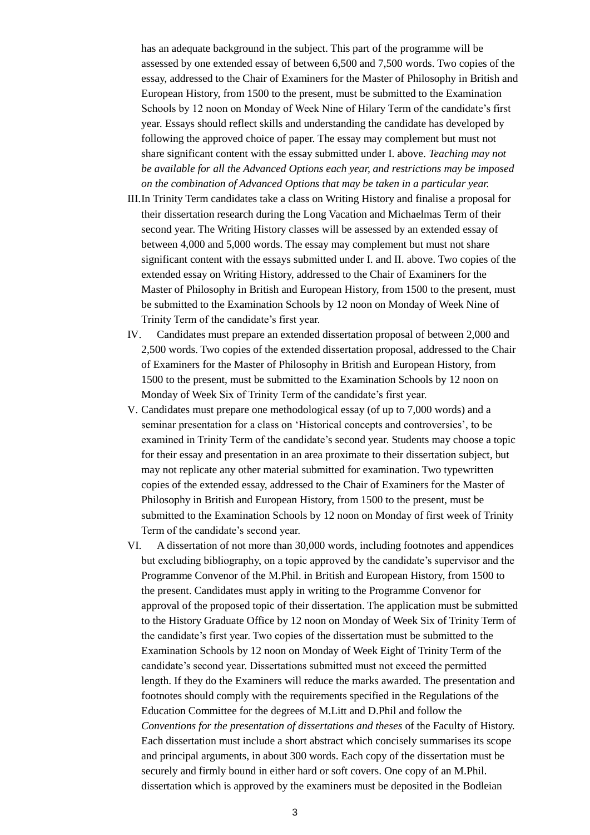has an adequate background in the subject. This part of the programme will be assessed by one extended essay of between 6,500 and 7,500 words. Two copies of the essay, addressed to the Chair of Examiners for the Master of Philosophy in British and European History, from 1500 to the present, must be submitted to the Examination Schools by 12 noon on Monday of Week Nine of Hilary Term of the candidate's first year. Essays should reflect skills and understanding the candidate has developed by following the approved choice of paper. The essay may complement but must not share significant content with the essay submitted under I. above. *Teaching may not be available for all the Advanced Options each year, and restrictions may be imposed on the combination of Advanced Options that may be taken in a particular year.*

- III.In Trinity Term candidates take a class on Writing History and finalise a proposal for their dissertation research during the Long Vacation and Michaelmas Term of their second year. The Writing History classes will be assessed by an extended essay of between 4,000 and 5,000 words. The essay may complement but must not share significant content with the essays submitted under I. and II. above. Two copies of the extended essay on Writing History, addressed to the Chair of Examiners for the Master of Philosophy in British and European History, from 1500 to the present, must be submitted to the Examination Schools by 12 noon on Monday of Week Nine of Trinity Term of the candidate's first year.
- IV. Candidates must prepare an extended dissertation proposal of between 2,000 and 2,500 words. Two copies of the extended dissertation proposal, addressed to the Chair of Examiners for the Master of Philosophy in British and European History, from 1500 to the present, must be submitted to the Examination Schools by 12 noon on Monday of Week Six of Trinity Term of the candidate's first year.
- V. Candidates must prepare one methodological essay (of up to 7,000 words) and a seminar presentation for a class on 'Historical concepts and controversies', to be examined in Trinity Term of the candidate's second year. Students may choose a topic for their essay and presentation in an area proximate to their dissertation subject, but may not replicate any other material submitted for examination. Two typewritten copies of the extended essay, addressed to the Chair of Examiners for the Master of Philosophy in British and European History, from 1500 to the present, must be submitted to the Examination Schools by 12 noon on Monday of first week of Trinity Term of the candidate's second year.
- VI. A dissertation of not more than 30,000 words, including footnotes and appendices but excluding bibliography, on a topic approved by the candidate's supervisor and the Programme Convenor of the M.Phil. in British and European History, from 1500 to the present. Candidates must apply in writing to the Programme Convenor for approval of the proposed topic of their dissertation. The application must be submitted to the History Graduate Office by 12 noon on Monday of Week Six of Trinity Term of the candidate's first year. Two copies of the dissertation must be submitted to the Examination Schools by 12 noon on Monday of Week Eight of Trinity Term of the candidate's second year. Dissertations submitted must not exceed the permitted length. If they do the Examiners will reduce the marks awarded. The presentation and footnotes should comply with the requirements specified in the Regulations of the Education Committee for the degrees of M.Litt and D.Phil and follow the *Conventions for the presentation of dissertations and theses* of the Faculty of History. Each dissertation must include a short abstract which concisely summarises its scope and principal arguments, in about 300 words. Each copy of the dissertation must be securely and firmly bound in either hard or soft covers. One copy of an M.Phil. dissertation which is approved by the examiners must be deposited in the Bodleian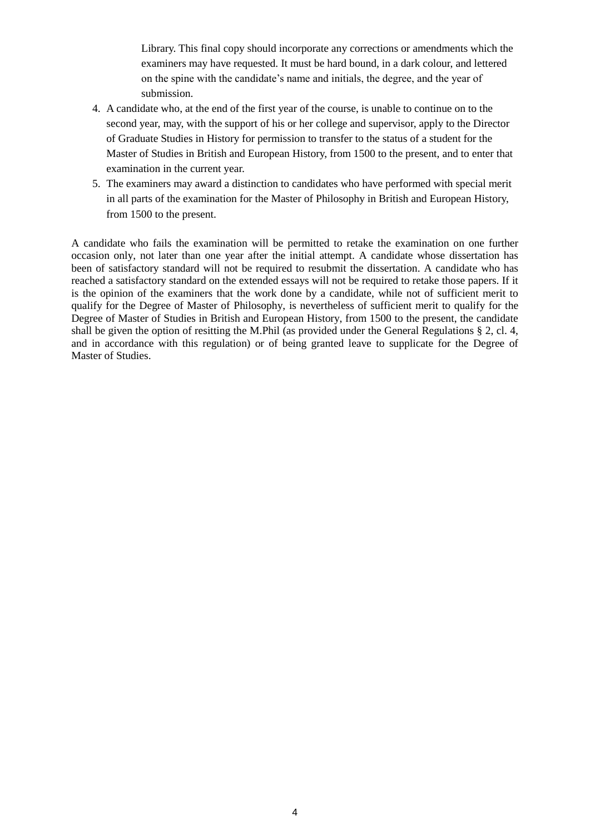Library. This final copy should incorporate any corrections or amendments which the examiners may have requested. It must be hard bound, in a dark colour, and lettered on the spine with the candidate's name and initials, the degree, and the year of submission.

- 4. A candidate who, at the end of the first year of the course, is unable to continue on to the second year, may, with the support of his or her college and supervisor, apply to the Director of Graduate Studies in History for permission to transfer to the status of a student for the Master of Studies in British and European History, from 1500 to the present, and to enter that examination in the current year.
- 5. The examiners may award a distinction to candidates who have performed with special merit in all parts of the examination for the Master of Philosophy in British and European History, from 1500 to the present.

A candidate who fails the examination will be permitted to retake the examination on one further occasion only, not later than one year after the initial attempt. A candidate whose dissertation has been of satisfactory standard will not be required to resubmit the dissertation. A candidate who has reached a satisfactory standard on the extended essays will not be required to retake those papers. If it is the opinion of the examiners that the work done by a candidate, while not of sufficient merit to qualify for the Degree of Master of Philosophy, is nevertheless of sufficient merit to qualify for the Degree of Master of Studies in British and European History, from 1500 to the present, the candidate shall be given the option of resitting the M.Phil (as provided under the General Regulations § 2, cl. 4, and in accordance with this regulation) or of being granted leave to supplicate for the Degree of Master of Studies.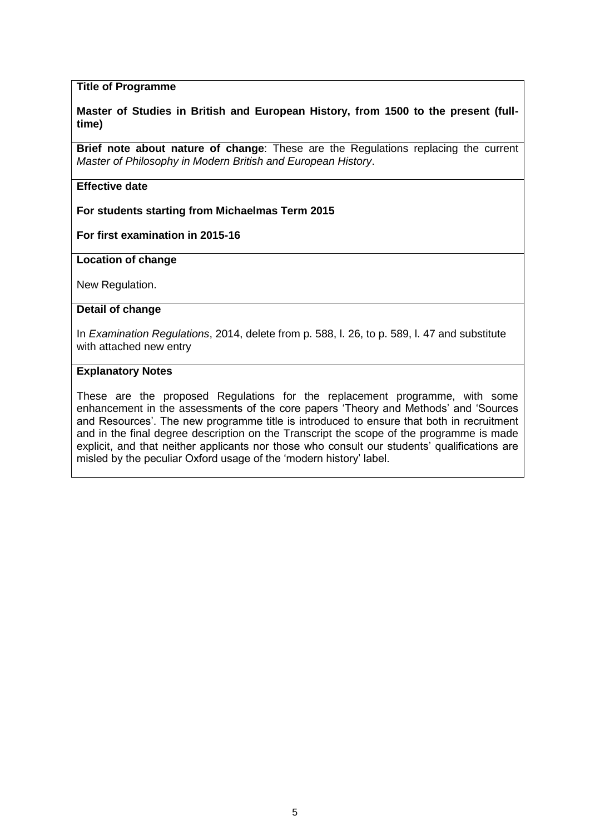## **Title of Programme**

#### **Master of Studies in British and European History, from 1500 to the present (fulltime)**

**Brief note about nature of change**: These are the Regulations replacing the current *Master of Philosophy in Modern British and European History*.

# **Effective date**

**For students starting from Michaelmas Term 2015**

**For first examination in 2015-16**

**Location of change**

New Regulation.

#### **Detail of change**

In *Examination Regulations*, 2014, delete from p. 588, l. 26, to p. 589, l. 47 and substitute with attached new entry

#### **Explanatory Notes**

These are the proposed Regulations for the replacement programme, with some enhancement in the assessments of the core papers 'Theory and Methods' and 'Sources and Resources'. The new programme title is introduced to ensure that both in recruitment and in the final degree description on the Transcript the scope of the programme is made explicit, and that neither applicants nor those who consult our students' qualifications are misled by the peculiar Oxford usage of the 'modern history' label.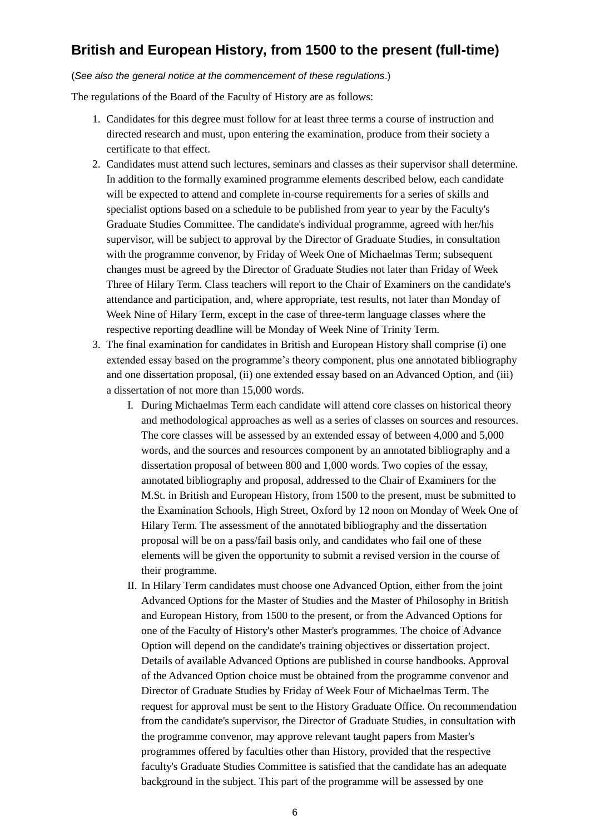# **British and European History, from 1500 to the present (full-time)**

#### (*See also the general notice at the commencement of these regulations*.)

The regulations of the Board of the Faculty of History are as follows:

- 1. Candidates for this degree must follow for at least three terms a course of instruction and directed research and must, upon entering the examination, produce from their society a certificate to that effect.
- 2. Candidates must attend such lectures, seminars and classes as their supervisor shall determine. In addition to the formally examined programme elements described below, each candidate will be expected to attend and complete in-course requirements for a series of skills and specialist options based on a schedule to be published from year to year by the Faculty's Graduate Studies Committee. The candidate's individual programme, agreed with her/his supervisor, will be subject to approval by the Director of Graduate Studies, in consultation with the programme convenor, by Friday of Week One of Michaelmas Term; subsequent changes must be agreed by the Director of Graduate Studies not later than Friday of Week Three of Hilary Term. Class teachers will report to the Chair of Examiners on the candidate's attendance and participation, and, where appropriate, test results, not later than Monday of Week Nine of Hilary Term, except in the case of three-term language classes where the respective reporting deadline will be Monday of Week Nine of Trinity Term.
- 3. The final examination for candidates in British and European History shall comprise (i) one extended essay based on the programme's theory component, plus one annotated bibliography and one dissertation proposal, (ii) one extended essay based on an Advanced Option, and (iii) a dissertation of not more than 15,000 words.
	- I. During Michaelmas Term each candidate will attend core classes on historical theory and methodological approaches as well as a series of classes on sources and resources. The core classes will be assessed by an extended essay of between 4,000 and 5,000 words, and the sources and resources component by an annotated bibliography and a dissertation proposal of between 800 and 1,000 words. Two copies of the essay, annotated bibliography and proposal, addressed to the Chair of Examiners for the M.St. in British and European History, from 1500 to the present, must be submitted to the Examination Schools, High Street, Oxford by 12 noon on Monday of Week One of Hilary Term. The assessment of the annotated bibliography and the dissertation proposal will be on a pass/fail basis only, and candidates who fail one of these elements will be given the opportunity to submit a revised version in the course of their programme.
	- II. In Hilary Term candidates must choose one Advanced Option, either from the joint Advanced Options for the Master of Studies and the Master of Philosophy in British and European History, from 1500 to the present, or from the Advanced Options for one of the Faculty of History's other Master's programmes. The choice of Advance Option will depend on the candidate's training objectives or dissertation project. Details of available Advanced Options are published in course handbooks. Approval of the Advanced Option choice must be obtained from the programme convenor and Director of Graduate Studies by Friday of Week Four of Michaelmas Term. The request for approval must be sent to the History Graduate Office. On recommendation from the candidate's supervisor, the Director of Graduate Studies, in consultation with the programme convenor, may approve relevant taught papers from Master's programmes offered by faculties other than History, provided that the respective faculty's Graduate Studies Committee is satisfied that the candidate has an adequate background in the subject. This part of the programme will be assessed by one